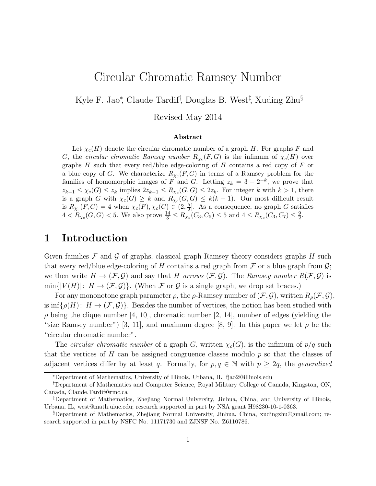# Circular Chromatic Ramsey Number

Kyle F. Jao<sup>\*</sup>, Claude Tardif<sup>†</sup>, Douglas B. West<sup>‡</sup>, Xuding Zhu<sup>§</sup>

Revised May 2014

#### Abstract

Let  $\chi_c(H)$  denote the circular chromatic number of a graph H. For graphs F and G, the circular chromatic Ramsey number  $R_{\chi_c}(F,G)$  is the infimum of  $\chi_c(H)$  over graphs  $H$  such that every red/blue edge-coloring of  $H$  contains a red copy of  $F$  or a blue copy of G. We characterize  $R_{\chi_c}(F, G)$  in terms of a Ramsey problem for the families of homomorphic images of F and G. Letting  $z_k = 3 - 2^{-k}$ , we prove that  $z_{k-1} \leq \chi_c(G) \leq z_k$  implies  $2z_{k-1} \leq R_{\chi_c}(G, G) \leq 2z_k$ . For integer k with  $k > 1$ , there is a graph G with  $\chi_c(G) \geq k$  and  $R_{\chi_c}(G, G) \leq k(k-1)$ . Our most difficult result is  $R_{\chi_c}(F,G) = 4$  when  $\chi_c(F), \chi_c(G) \in (2, \frac{5}{2})$  $\frac{5}{2}$ . As a consequence, no graph G satisfies  $4 < R_{\chi_c}(G,G) < 5$ . We also prove  $\frac{14}{3} \leq R_{\chi_c}(C_3, C_5) \leq 5$  and  $4 \leq R_{\chi_c}(C_3, C_7) \leq \frac{9}{2}$ .

### 1 Introduction

Given families  $\mathcal F$  and  $\mathcal G$  of graphs, classical graph Ramsey theory considers graphs H such that every red/blue edge-coloring of H contains a red graph from  $\mathcal F$  or a blue graph from  $\mathcal G$ ; we then write  $H \to (\mathcal{F}, \mathcal{G})$  and say that H arrows  $(\mathcal{F}, \mathcal{G})$ . The *Ramsey number*  $R(\mathcal{F}, \mathcal{G})$  is  $\min\{|V(H)|: H \to (\mathcal{F}, \mathcal{G})\}.$  (When  $\mathcal F$  or  $\mathcal G$  is a single graph, we drop set braces.)

For any mononotone graph parameter  $\rho$ , the  $\rho$ -Ramsey number of  $(\mathcal{F}, \mathcal{G})$ , written  $R_{\rho}(\mathcal{F}, \mathcal{G})$ , is inf{ $\rho(H)$ :  $H \to (\mathcal{F}, \mathcal{G})$ }. Besides the number of vertices, the notion has been studied with  $\rho$  being the clique number [4, 10], chromatic number [2, 14], number of edges (yielding the "size Ramsey number") [3, 11], and maximum degree [8, 9]. In this paper we let  $\rho$  be the "circular chromatic number".

The *circular chromatic number* of a graph G, written  $\chi_c(G)$ , is the infimum of  $p/q$  such that the vertices of  $H$  can be assigned congruence classes modulo  $p$  so that the classes of adjacent vertices differ by at least q. Formally, for  $p, q \in \mathbb{N}$  with  $p \geq 2q$ , the *generalized* 

<sup>∗</sup>Department of Mathematics, University of Illinois, Urbana, IL, fjao2@illinois.edu

<sup>†</sup>Department of Mathematics and Computer Science, Royal Military College of Canada, Kingston, ON, Canada, Claude.Tardif@rmc.ca

<sup>‡</sup>Department of Mathematics, Zhejiang Normal University, Jinhua, China, and University of Illinois, Urbana, IL, west@math.uiuc.edu; research supported in part by NSA grant H98230-10-1-0363.

<sup>§</sup>Department of Mathematics, Zhejiang Normal University, Jinhua, China, xudingzhu@gmail.com; research supported in part by NSFC No. 11171730 and ZJNSF No. Z6110786.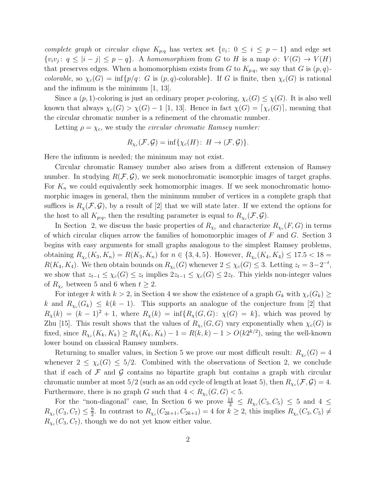*complete graph* or *circular clique*  $K_{p,q}$  has vertex set  $\{v_i: 0 \le i \le p-1\}$  and edge set  $\{v_i v_j : q \leq |i - j| \leq p - q\}$ . A *homomorphism* from G to H is a map  $\phi : V(G) \to V(H)$ that preserves edges. When a homomorphism exists from G to  $K_{p;q}$ , we say that G is  $(p,q)$ *colorable*, so  $\chi_c(G) = \inf \{p/q : G \text{ is } (p,q)$ -colorable. If G is finite, then  $\chi_c(G)$  is rational and the infimum is the minimum [1, 13].

Since a  $(p, 1)$ -coloring is just an ordinary proper p-coloring,  $\chi_c(G) \leq \chi(G)$ . It is also well known that always  $\chi_c(G) > \chi(G) - 1$  [1, 13]. Hence in fact  $\chi(G) = [\chi_c(G)]$ , meaning that the circular chromatic number is a refinement of the chromatic number.

Letting  $\rho = \chi_c$ , we study the *circular chromatic Ramsey number*:

$$
R_{\chi_c}(\mathcal{F}, \mathcal{G}) = \inf \{ \chi_c(H) \colon H \to (\mathcal{F}, \mathcal{G}) \}.
$$

Here the infimum is needed; the minimum may not exist.

Circular chromatic Ramsey number also arises from a different extension of Ramsey number. In studying  $R(\mathcal{F}, \mathcal{G})$ , we seek monochromatic isomorphic images of target graphs. For  $K_n$  we could equivalently seek homomorphic images. If we seek monochromatic homomorphic images in general, then the minimum number of vertices in a complete graph that suffices is  $R_\gamma(\mathcal{F}, \mathcal{G})$ , by a result of [2] that we will state later. If we extend the options for the host to all  $K_{p,q}$ , then the resulting parameter is equal to  $R_{\chi_c}(\mathcal{F}, \mathcal{G})$ .

In Section 2, we discuss the basic properties of  $R_{\chi_c}$  and characterize  $R_{\chi_c}(F, G)$  in terms of which circular cliques arrow the families of homomorphic images of  $F$  and  $G$ . Section 3 begins with easy arguments for small graphs analogous to the simplest Ramsey problems, obtaining  $R_{\chi_c}(K_3, K_n) = R(K_3, K_n)$  for  $n \in \{3, 4, 5\}$ . However,  $R_{\chi_c}(K_4, K_4) \le 17.5 < 18 =$  $R(K_4, K_4)$ . We then obtain bounds on  $R_{\chi_c}(G)$  whenever  $2 \leq \chi_c(G) \leq 3$ . Letting  $z_t = 3-2^{-t}$ , we show that  $z_{t-1} \leq \chi_c(G) \leq z_t$  implies  $2z_{t-1} \leq \chi_c(G) \leq 2z_t$ . This yields non-integer values of  $R_{\chi_c}$  between 5 and 6 when  $t \geq 2$ .

For integer k with  $k > 2$ , in Section 4 we show the existence of a graph  $G_k$  with  $\chi_c(G_k) \geq$ k and  $R_{\chi_c}(G_k) \leq k(k-1)$ . This supports an analogue of the conjecture from [2] that  $R_{\chi}(k) = (k-1)^2 + 1$ , where  $R_{\chi}(k) = \inf\{R_{\chi}(G, G): \chi(G) = k\}$ , which was proved by Zhu [15]. This result shows that the values of  $R_{\chi_c}(G, G)$  vary exponentially when  $\chi_c(G)$  is fixed, since  $R_{\chi_c}(K_k, K_k) \ge R_{\chi}(K_k, K_k) - 1 = R(k, k) - 1 > O(k2^{k/2})$ , using the well-known lower bound on classical Ramsey numbers.

Returning to smaller values, in Section 5 we prove our most difficult result:  $R_{\chi_c}(G) = 4$ whenever  $2 \leq \chi_c(G) \leq 5/2$ . Combined with the observations of Section 2, we conclude that if each of  $\mathcal F$  and  $\mathcal G$  contains no bipartite graph but contains a graph with circular chromatic number at most  $5/2$  (such as an odd cycle of length at least 5), then  $R_{\chi_c}(\mathcal{F}, \mathcal{G}) = 4$ . Furthermore, there is no graph G such that  $4 < R_{\chi_c}(G, G) < 5$ .

For the "non-diagonal" case, In Section 6 we prove  $\frac{14}{3} \le R_{\chi_c}(C_3, C_5) \le 5$  and  $4 \le$  $R_{\chi_c}(C_3, C_7) \leq \frac{9}{2}$  $\frac{9}{2}$ . In contrast to  $R_{\chi_c}(C_{2k+1}, C_{2k+1}) = 4$  for  $k \geq 2$ , this implies  $R_{\chi_c}(C_3, C_5) \neq$  $R_{\chi_c}(C_3, C_7)$ , though we do not yet know either value.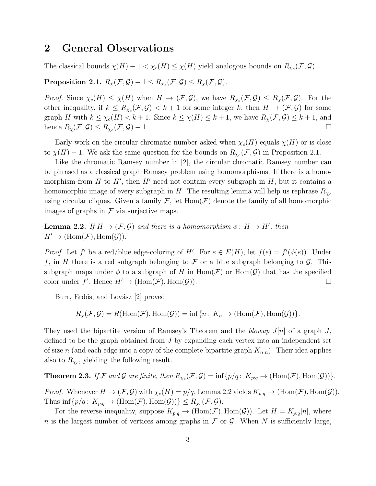#### 2 General Observations

The classical bounds  $\chi(H) - 1 < \chi_c(H) \leq \chi(H)$  yield analogous bounds on  $R_{\chi_c}(\mathcal{F}, \mathcal{G})$ .

 $\textbf{Proposition 2.1.} \,\, R_\chi(\mathcal{F}, \mathcal{G}) - 1 \leq R_{\chi_c}(\mathcal{F}, \mathcal{G}) \leq R_\chi(\mathcal{F}, \mathcal{G}).$ 

*Proof.* Since  $\chi_c(H) \leq \chi(H)$  when  $H \to (\mathcal{F}, \mathcal{G})$ , we have  $R_{\chi_c}(\mathcal{F}, \mathcal{G}) \leq R_{\chi}(\mathcal{F}, \mathcal{G})$ . For the other inequality, if  $k \leq R_{\chi_c}(\mathcal{F}, \mathcal{G}) < k+1$  for some integer k, then  $H \to (\mathcal{F}, \mathcal{G})$  for some graph H with  $k \leq \chi_c(H) < k+1$ . Since  $k \leq \chi(H) \leq k+1$ , we have  $R_\chi(\mathcal{F}, \mathcal{G}) \leq k+1$ , and hence  $R_{\chi}(\mathcal{F}, \mathcal{G}) \leq R_{\chi_c}(\mathcal{F}, \mathcal{G}) + 1.$ 

Early work on the circular chromatic number asked when  $\chi_c(H)$  equals  $\chi(H)$  or is close to  $\chi(H) - 1$ . We ask the same question for the bounds on  $R_{\chi_c}(\mathcal{F}, \mathcal{G})$  in Proposition 2.1.

Like the chromatic Ramsey number in [2], the circular chromatic Ramsey number can be phrased as a classical graph Ramsey problem using homomorphisms. If there is a homomorphism from  $H$  to  $H'$ , then  $H'$  need not contain every subgraph in  $H$ , but it contains a homomorphic image of every subgraph in H. The resulting lemma will help us rephrase  $R_{\chi_c}$ using circular cliques. Given a family  $\mathcal{F}$ , let  $Hom(\mathcal{F})$  denote the family of all homomorphic images of graphs in  $\mathcal F$  via surjective maps.

**Lemma 2.2.** *If*  $H \to (\mathcal{F}, \mathcal{G})$  *and there is a homomorphism*  $\phi: H \to H'$ *, then*  $H' \to (\text{Hom}(\mathcal{F}), \text{Hom}(\mathcal{G})).$ 

*Proof.* Let f' be a red/blue edge-coloring of H'. For  $e \in E(H)$ , let  $f(e) = f'(\phi(e))$ . Under f, in H there is a red subgraph belonging to F or a blue subgraph belonging to G. This subgraph maps under  $\phi$  to a subgraph of H in Hom(F) or Hom(G) that has the specified color under  $f'$ . Hence  $H' \to (\text{Hom}(\mathcal{F}), \text{Hom}(\mathcal{G}))$ .

Burr, Erdős, and Lovász [2] proved

$$
R_{\chi}(\mathcal{F}, \mathcal{G}) = R(\text{Hom}(\mathcal{F}), \text{Hom}(\mathcal{G})) = \inf \{ n \colon K_n \to (\text{Hom}(\mathcal{F}), \text{Hom}(\mathcal{G})) \}.
$$

They used the bipartite version of Ramsey's Theorem and the *blowup*  $J[n]$  of a graph J, defined to be the graph obtained from J by expanding each vertex into an independent set of size n (and each edge into a copy of the complete bipartite graph  $K_{n,n}$ ). Their idea applies also to  $R_{\chi_c}$ , yielding the following result.

**Theorem 2.3.** If F and G are finite, then  $R_{\chi_c}(\mathcal{F}, \mathcal{G}) = \inf \{p/q: K_{p:q} \to (\text{Hom}(\mathcal{F}), \text{Hom}(\mathcal{G}))\}.$ 

*Proof.* Whenever  $H \to (\mathcal{F}, \mathcal{G})$  with  $\chi_c(H) = p/q$ , Lemma 2.2 yields  $K_{p:q} \to (\text{Hom}(\mathcal{F}), \text{Hom}(\mathcal{G}))$ . Thus  $\inf \{ p/q \colon K_{p:q} \to (\text{Hom}(\mathcal{F}), \text{Hom}(\mathcal{G})) \} \leq R_{\chi_c}(\mathcal{F}, \mathcal{G}).$ 

For the reverse inequality, suppose  $K_{p:q} \to (\text{Hom}(\mathcal{F}), \text{Hom}(\mathcal{G}))$ . Let  $H = K_{p:q}[n]$ , where n is the largest number of vertices among graphs in  $\mathcal F$  or  $\mathcal G$ . When N is sufficiently large,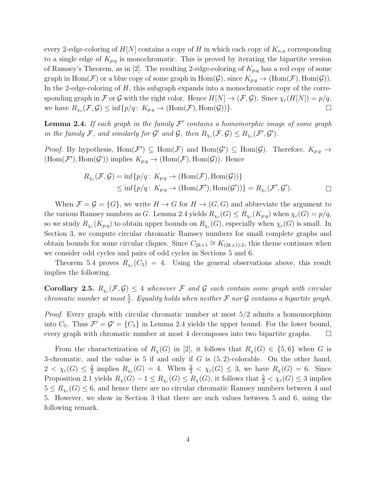every 2-edge-coloring of  $H[N]$  contains a copy of H in which each copy of  $K_{n,n}$  corresponding to a single edge of  $K_{p,q}$  is monochromatic. This is proved by iterating the bipartite version of Ramsey's Theorem, as in [2]. The resulting 2-edge-coloring of  $K_{p:q}$  has a red copy of some graph in  $Hom(\mathcal{F})$  or a blue copy of some graph in  $Hom(\mathcal{G})$ , since  $K_{p:q} \to (Hom(\mathcal{F}), Hom(\mathcal{G}))$ . In the 2-edge-coloring of H, this subgraph expands into a monochromatic copy of the corresponding graph in F or G with the right color. Hence  $H[N] \to (\mathcal{F}, \mathcal{G})$ . Since  $\chi_c(H[N]) = p/q$ , we have  $R_{\chi_c}(\mathcal{F}, \mathcal{G}) \le \inf \{p/q \colon K_{p:q} \to (\text{Hom}(\mathcal{F}), \text{Hom}(\mathcal{G}))\}.$ 

**Lemma 2.4.** If each graph in the family  $\mathcal{F}'$  contains a homomorphic image of some graph *in the family* F, and similarly for  $\mathcal{G}'$  and  $\mathcal{G}$ , then  $R_{\chi_c}(\mathcal{F}, \mathcal{G}) \leq R_{\chi_c}(\mathcal{F}', \mathcal{G}')$ .

*Proof.* By hypothesis, Hom $(\mathcal{F}') \subseteq Hom(\mathcal{F})$  and Hom $(\mathcal{G}') \subseteq Hom(\mathcal{G})$ . Therefore,  $K_{p:q} \to$  $(\text{Hom}(\mathcal{F}'), \text{Hom}(\mathcal{G}'))$  implies  $K_{p:q} \to (\text{Hom}(\mathcal{F}), \text{Hom}(\mathcal{G}))$ . Hence

$$
R_{\chi_c}(\mathcal{F}, \mathcal{G}) = \inf \{ p/q \colon K_{p:q} \to (\text{Hom}(\mathcal{F}), \text{Hom}(\mathcal{G})) \} \\
\leq \inf \{ p/q \colon K_{p:q} \to (\text{Hom}(\mathcal{F}'), \text{Hom}(\mathcal{G}')) \} = R_{\chi_c}(\mathcal{F}', \mathcal{G}').\n\qquad \Box
$$

When  $\mathcal{F} = \mathcal{G} = \{G\}$ , we write  $H \to G$  for  $H \to (G, G)$  and abbreviate the argument to the various Ramsey numbers as G. Lemma 2.4 yields  $R_{\chi_c}(G) \le R_{\chi_c}(K_{p:q})$  when  $\chi_c(G) = p/q$ , so we study  $R_{\chi_c}(K_{p;q})$  to obtain upper bounds on  $R_{\chi_c}(G)$ , especially when  $\chi_c(G)$  is small. In Section 3, we compute circular chromatic Ramsey numbers for small complete graphs and obtain bounds for some circular cliques. Since  $C_{2k+1} \cong K_{(2k+1):2}$ , this theme continues when we consider odd cycles and pairs of odd cycles in Sections 5 and 6.

Theorem 5.4 proves  $R_{\chi_c}(C_5) = 4$ . Using the general observations above, this result implies the following.

**Corollary 2.5.**  $R_{\chi_c}(\mathcal{F}, \mathcal{G}) \leq 4$  whenever  $\mathcal{F}$  and  $\mathcal{G}$  each contain some graph with circular *chromatic number at most*  $\frac{5}{2}$ *. Equality holds when neither* F *nor* G *contains a bipartite graph.* 

*Proof.* Every graph with circular chromatic number at most 5/2 admits a homomorphism into  $C_5$ . Thus  $\mathcal{F}' = \mathcal{G}' = \{C_5\}$  in Lemma 2.4 yields the upper bound. For the lower bound, every graph with chromatic number at most 4 decomposes into two bipartite graphs.  $\square$ 

From the characterization of  $R_{\chi}(G)$  in [2], it follows that  $R_{\chi}(G) \in \{5,6\}$  when G is 3-chromatic, and the value is 5 if and only if  $G$  is  $(5, 2)$ -colorable. On the other hand,  $2 < \chi_c(G) \leq \frac{5}{2}$  $\frac{5}{2}$  implies  $R_{\chi_c}(G) = 4$ . When  $\frac{5}{2} < \chi_c(G) \leq 3$ , we have  $R_{\chi}(G) = 6$ . Since Proposition 2.1 yields  $R_{\chi}(G) - 1 \le R_{\chi_c}(G) \le R_{\chi}(G)$ , it follows that  $\frac{5}{2} < \chi_c(G) \le 3$  implies  $5 \le R_{\chi_c}(G) \le 6$ , and hence there are no circular chromatic Ramsey numbers between 4 and 5. However, we show in Section 3 that there are such values between 5 and 6, using the following remark.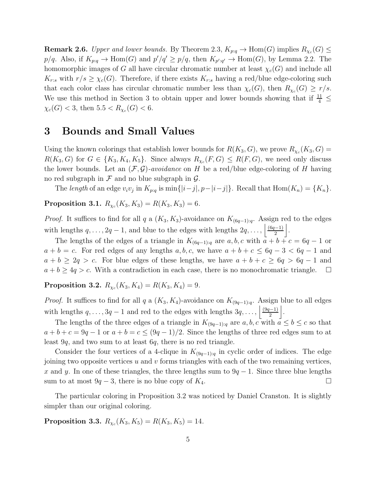**Remark 2.6.** *Upper and lower bounds.* By Theorem 2.3,  $K_{p:q} \to \text{Hom}(G)$  implies  $R_{\chi_c}(G) \leq$  $p/q$ . Also, if  $K_{p,q} \to \text{Hom}(G)$  and  $p'/q' \geq p/q$ , then  $K_{p';q'} \to \text{Hom}(G)$ , by Lemma 2.2. The homomorphic images of G all have circular chromatic number at least  $\chi_c(G)$  and include all  $K_{r:s}$  with  $r/s \geq \chi_c(G)$ . Therefore, if there exists  $K_{r:s}$  having a red/blue edge-coloring such that each color class has circular chromatic number less than  $\chi_c(G)$ , then  $R_{\chi_c}(G) \geq r/s$ . We use this method in Section 3 to obtain upper and lower bounds showing that if  $\frac{11}{4} \leq$  $\chi_c(G) < 3$ , then  $5.5 < R_{\chi_c}(G) < 6$ .

#### 3 Bounds and Small Values

Using the known colorings that establish lower bounds for  $R(K_3, G)$ , we prove  $R_{\chi_c}(K_3, G)$  =  $R(K_3, G)$  for  $G \in \{K_3, K_4, K_5\}$ . Since always  $R_{\chi_c}(F, G) \le R(F, G)$ , we need only discuss the lower bounds. Let an  $(\mathcal{F}, \mathcal{G})$ -avoidance on H be a red/blue edge-coloring of H having no red subgraph in  $\mathcal F$  and no blue subgraph in  $\mathcal G$ .

The *length* of an edge  $v_i v_j$  in  $K_{p:q}$  is  $\min\{|i-j|, p-|i-j|\}$ . Recall that  $\text{Hom}(K_n) = \{K_n\}$ .

 $\textbf{Proposition 3.1.} \,\, R_{\chi_c}(K_3,K_3) = R(K_3,K_3) = 6.$ 

*Proof.* It suffices to find for all q a  $(K_3, K_3)$ -avoidance on  $K_{(6q-1):q}$ . Assign red to the edges with lengths  $q, \ldots, 2q-1$ , and blue to the edges with lengths  $2q, \ldots, \left\lfloor \frac{(6q-1)}{2} \right\rfloor$  $\frac{(-1)}{2}$ .

The lengths of the edges of a triangle in  $K_{(6q-1):q}$  are  $a, b, c$  with  $a + b + c = 6q - 1$  or  $a + b = c$ . For red edges of any lengths  $a, b, c$ , we have  $a + b + c \leq 6q - 3 < 6q - 1$  and  $a + b \geq 2q > c$ . For blue edges of these lengths, we have  $a + b + c \geq 6q > 6q - 1$  and  $a + b \geq 4q > c$ . With a contradiction in each case, there is no monochromatic triangle.  $\Box$ 

 $\textbf{Proposition 3.2.} \,\, R_{\chi_c}(K_3,K_4) = R(K_3,K_4) = 9.$ 

*Proof.* It suffices to find for all q a  $(K_3, K_4)$ -avoidance on  $K_{(9q-1):q}$ . Assign blue to all edges with lengths  $q, \ldots, 3q-1$  and red to the edges with lengths  $3q, \ldots, \left\lfloor \frac{(9q-1)}{2} \right\rfloor$  $\left| \frac{(-1)}{2} \right|$ .

The lengths of the three edges of a triangle in  $K_{(9q-1):q}$  are  $a, b, c$  with  $a \leq b \leq c$  so that  $a + b + c = 9q - 1$  or  $a + b = c \le (9q - 1)/2$ . Since the lengths of three red edges sum to at least 9q, and two sum to at least 6q, there is no red triangle.

Consider the four vertices of a 4-clique in  $K_{(9q-1):q}$  in cyclic order of indices. The edge joining two opposite vertices  $u$  and  $v$  forms triangles with each of the two remaining vertices, x and y. In one of these triangles, the three lengths sum to  $9q - 1$ . Since three blue lengths sum to at most  $9q - 3$ , there is no blue copy of  $K_4$ .

The particular coloring in Proposition 3.2 was noticed by Daniel Cranston. It is slightly simpler than our original coloring.

 $\textbf{Proposition 3.3.} \ R_{\chi_c}(K_3,K_5) = R(K_3,K_5) = 14.$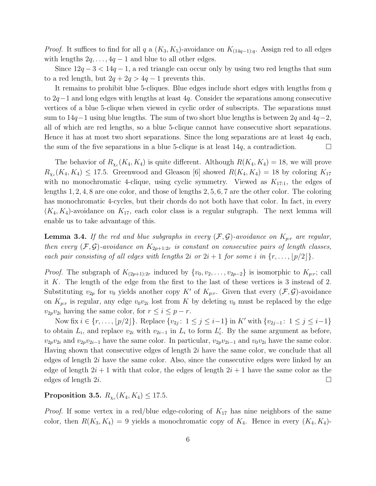*Proof.* It suffices to find for all q a  $(K_3, K_5)$ -avoidance on  $K_{(14q-1):q}$ . Assign red to all edges with lengths  $2q, \ldots, 4q-1$  and blue to all other edges.

Since  $12q - 3 < 14q - 1$ , a red triangle can occur only by using two red lengths that sum to a red length, but  $2q + 2q > 4q - 1$  prevents this.

It remains to prohibit blue 5-cliques. Blue edges include short edges with lengths from  $q$ to 2q−1 and long edges with lengths at least 4q. Consider the separations among consecutive vertices of a blue 5-clique when viewed in cyclic order of subscripts. The separations must sum to  $14q-1$  using blue lengths. The sum of two short blue lengths is between 2q and  $4q-2$ , all of which are red lengths, so a blue 5-clique cannot have consecutive short separations. Hence it has at most two short separations. Since the long separations are at least 4q each, the sum of the five separations in a blue 5-clique is at least  $14q$ , a contradiction.

The behavior of  $R_{\chi_c}(K_4, K_4)$  is quite different. Although  $R(K_4, K_4) = 18$ , we will prove  $R_{\chi_c}(K_4, K_4) \leq 17.5$ . Greenwood and Gleason [6] showed  $R(K_4, K_4) = 18$  by coloring  $K_{17}$ with no monochromatic 4-clique, using cyclic symmetry. Viewed as  $K_{17:1}$ , the edges of lengths 1, 2, 4, 8 are one color, and those of lengths 2, 5, 6, 7 are the other color. The coloring has monochromatic 4-cycles, but their chords do not both have that color. In fact, in every  $(K_4, K_4)$ -avoidance on  $K_{17}$ , each color class is a regular subgraph. The next lemma will enable us to take advantage of this.

**Lemma 3.4.** If the red and blue subgraphs in every  $(\mathcal{F}, \mathcal{G})$ -avoidance on  $K_{p:r}$  are regular, *then every*  $(\mathcal{F}, \mathcal{G})$ -avoidance on  $K_{2p+1:2r}$  *is constant on consecutive pairs of length classes, each pair consisting of all edges with lengths*  $2i$  *or*  $2i + 1$  *for some i in*  $\{r, \ldots, |p/2|\}$ *.* 

*Proof.* The subgraph of  $K_{(2p+1):2r}$  induced by  $\{v_0, v_2, \ldots, v_{2p-2}\}$  is isomorphic to  $K_{p:r}$ ; call it K. The length of the edge from the first to the last of these vertices is 3 instead of 2. Substituting  $v_{2p}$  for  $v_0$  yields another copy K' of  $K_{p:r}$ . Given that every  $(\mathcal{F}, \mathcal{G})$ -avoidance on  $K_{p:r}$  is regular, any edge  $v_0v_{2i}$  lost from K by deleting  $v_0$  must be replaced by the edge  $v_{2p}v_{2i}$  having the same color, for  $r \leq i \leq p-r$ .

Now fix  $i \in \{r, \ldots, \lfloor p/2 \rfloor\}$ . Replace  $\{v_{2j}: 1 \le j \le i-1\}$  in K' with  $\{v_{2j-1}: 1 \le j \le i-1\}$ to obtain  $L_i$ , and replace  $v_{2i}$  with  $v_{2i-1}$  in  $L_i$  to form  $L'_i$  $i<sub>i</sub>$ . By the same argument as before,  $v_{2p}v_{2i}$  and  $v_{2p}v_{2i-1}$  have the same color. In particular,  $v_{2p}v_{2i-1}$  and  $v_0v_{2i}$  have the same color. Having shown that consecutive edges of length 2i have the same color, we conclude that all edges of length 2i have the same color. Also, since the consecutive edges were linked by an edge of length  $2i + 1$  with that color, the edges of length  $2i + 1$  have the same color as the edges of length 2i.

Proposition 3.5.  $R_{\chi_c}(K_4, K_4) \le 17.5$ *.* 

*Proof.* If some vertex in a red/blue edge-coloring of  $K_{17}$  has nine neighbors of the same color, then  $R(K_3, K_4) = 9$  yields a monochromatic copy of  $K_4$ . Hence in every  $(K_4, K_4)$ -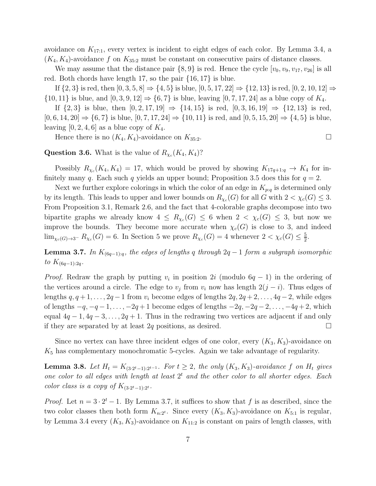avoidance on  $K_{17:1}$ , every vertex is incident to eight edges of each color. By Lemma 3.4, a  $(K_4, K_4)$ -avoidance f on  $K_{35:2}$  must be constant on consecutive pairs of distance classes.

We may assume that the distance pair  $\{8, 9\}$  is red. Hence the cycle  $[v_0, v_9, v_{17}, v_{26}]$  is all red. Both chords have length 17, so the pair {16, 17} is blue.

If  $\{2,3\}$  is red, then  $[0,3,5,8] \Rightarrow \{4,5\}$  is blue,  $[0,5,17,22] \Rightarrow \{12,13\}$  is red,  $[0,2,10,12] \Rightarrow$  $\{10, 11\}$  is blue, and  $[0, 3, 9, 12] \Rightarrow \{6, 7\}$  is blue, leaving  $[0, 7, 17, 24]$  as a blue copy of  $K_4$ .

If  $\{2,3\}$  is blue, then  $[0, 2, 17, 19] \Rightarrow \{14, 15\}$  is red,  $[0, 3, 16, 19] \Rightarrow \{12, 13\}$  is red,  $[0, 6, 14, 20] \Rightarrow {6, 7}$  is blue,  $[0, 7, 17, 24] \Rightarrow {10, 11}$  is red, and  $[0, 5, 15, 20] \Rightarrow {4, 5}$  is blue, leaving  $[0, 2, 4, 6]$  as a blue copy of  $K_4$ .

Hence there is no  $(K_4, K_4)$ -avoidance on  $K_{35:2}$ .

#### **Question 3.6.** What is the value of  $R_{\chi_c}(K_4, K_4)$ ?

Possibly  $R_{\chi_c}(K_4, K_4) = 17$ , which would be proved by showing  $K_{17q+1:q} \to K_4$  for infinitely many q. Each such q yields an upper bound; Proposition 3.5 does this for  $q = 2$ .

Next we further explore colorings in which the color of an edge in  $K_{p:q}$  is determined only by its length. This leads to upper and lower bounds on  $R_{\chi_c}(G)$  for all G with  $2 < \chi_c(G) \leq 3$ . From Proposition 3.1, Remark 2.6, and the fact that 4-colorable graphs decompose into two bipartite graphs we already know  $4 \le R_{\chi_c}(G) \le 6$  when  $2 < \chi_c(G) \le 3$ , but now we improve the bounds. They become more accurate when  $\chi_c(G)$  is close to 3, and indeed  $\lim_{\chi_c(G)\to 3^-} R_{\chi_c}(G) = 6$ . In Section 5 we prove  $R_{\chi_c}(G) = 4$  whenever  $2 < \chi_c(G) \leq \frac{5}{2}$  $\frac{5}{2}$ .

Lemma 3.7. *In* K(6q−1):q*, the edges of lengths* q *through* 2q − 1 *form a subgraph isomorphic*  $to K_{(6q-1):2q}$ .

*Proof.* Redraw the graph by putting  $v_i$  in position 2i (modulo  $6q - 1$ ) in the ordering of the vertices around a circle. The edge to  $v_j$  from  $v_i$  now has length  $2(j - i)$ . Thus edges of lengths  $q, q+1, \ldots, 2q-1$  from  $v_i$  become edges of lengths  $2q, 2q+2, \ldots, 4q-2$ , while edges of lengths  $-q$ ,  $-q-1$ , ...,  $-2q+1$  become edges of lengths  $-2q$ ,  $-2q-2$ , ...,  $-4q+2$ , which equal  $4q-1$ ,  $4q-3$ , ...,  $2q+1$ . Thus in the redrawing two vertices are adjacent if and only if they are separated by at least 2q positions, as desired.  $\square$ 

Since no vertex can have three incident edges of one color, every  $(K_3, K_3)$ -avoidance on  $K<sub>5</sub>$  has complementary monochromatic 5-cycles. Again we take advantage of regularity.

**Lemma 3.8.** Let  $H_t = K_{(3 \cdot 2^t - 1) \cdot 2^{t-1}}$ . For  $t \geq 2$ , the only  $(K_3, K_3)$ -avoidance f on  $H_t$  gives *one color to all edges with length at least* 2 <sup>t</sup> *and the other color to all shorter edges. Each color class is a copy of*  $K_{(3 \cdot 2^t - 1):2^t}$ *.* 

*Proof.* Let  $n = 3 \cdot 2^t - 1$ . By Lemma 3.7, it suffices to show that f is as described, since the two color classes then both form  $K_{n:2^t}$ . Since every  $(K_3, K_3)$ -avoidance on  $K_{5:1}$  is regular, by Lemma 3.4 every  $(K_3, K_3)$ -avoidance on  $K_{11:2}$  is constant on pairs of length classes, with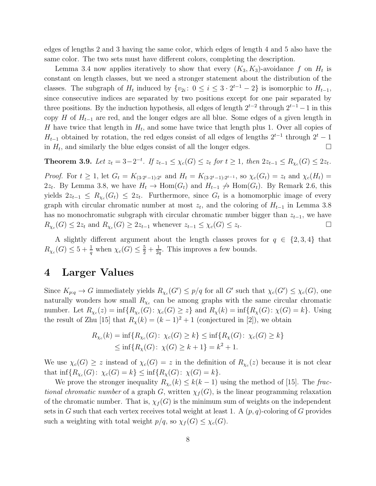edges of lengths 2 and 3 having the same color, which edges of length 4 and 5 also have the same color. The two sets must have different colors, completing the description.

Lemma 3.4 now applies iteratively to show that every  $(K_3, K_3)$ -avoidance f on  $H_t$  is constant on length classes, but we need a stronger statement about the distribution of the classes. The subgraph of  $H_t$  induced by  $\{v_{2i}: 0 \le i \le 3 \cdot 2^{t-1} - 2\}$  is isomorphic to  $H_{t-1}$ , since consecutive indices are separated by two positions except for one pair separated by three positions. By the induction hypothesis, all edges of length  $2^{t-2}$  through  $2^{t-1}-1$  in this copy H of  $H_{t-1}$  are red, and the longer edges are all blue. Some edges of a given length in H have twice that length in  $H_t$ , and some have twice that length plus 1. Over all copies of  $H_{t-1}$  obtained by rotation, the red edges consist of all edges of lengths  $2^{t-1}$  through  $2^t - 1$ in  $H_t$ , and similarly the blue edges consist of all the longer edges.

**Theorem 3.9.** Let  $z_t = 3 - 2^{-t}$ . If  $z_{t-1} \leq \chi_c(G) \leq z_t$  for  $t \geq 1$ , then  $2z_{t-1} \leq R_{\chi_c}(G) \leq 2z_t$ .

*Proof.* For  $t \geq 1$ , let  $G_t = K_{(3 \cdot 2^t - 1) \cdot 2^t}$  and  $H_t = K_{(3 \cdot 2^t - 1) \cdot 2^{t-1}}$ , so  $\chi_c(G_t) = z_t$  and  $\chi_c(H_t) =$ 2 $z_t$ . By Lemma 3.8, we have  $H_t \to \text{Hom}(G_t)$  and  $H_{t-1} \not\to \text{Hom}(G_t)$ . By Remark 2.6, this yields  $2z_{t-1} \leq R_{\chi_c}(G_t) \leq 2z_t$ . Furthermore, since  $G_t$  is a homomorphic image of every graph with circular chromatic number at most  $z_t$ , and the coloring of  $H_{t-1}$  in Lemma 3.8 has no monochromatic subgraph with circular chromatic number bigger than  $z_{t-1}$ , we have  $R_{\chi_c}(G) \leq 2z_t$  and  $R_{\chi_c}(G) \geq 2z_{t-1}$  whenever  $z_{t-1} \leq \chi_c(G) \leq z_t$ . — Первый профессиональный профессиональный профессиональный профессиональный профессиональный профессиональн<br>В 1990 году в 1990 году в 1990 году в 1990 году в 1990 году в 1990 году в 1990 году в 1990 году в 1990 году в<br>

A slightly different argument about the length classes proves for  $q \in \{2,3,4\}$  that  $R_{\chi_c}(G) \leq 5 + \frac{1}{q}$  when  $\chi_c(G) \leq \frac{5}{2} + \frac{1}{2q}$  $\frac{1}{2q}$ . This improves a few bounds.

#### 4 Larger Values

Since  $K_{p:q} \to G$  immediately yields  $R_{\chi_c}(G') \leq p/q$  for all G' such that  $\chi_c(G') \leq \chi_c(G)$ , one naturally wonders how small  $R_{\chi_c}$  can be among graphs with the same circular chromatic number. Let  $R_{\chi_c}(z) = \inf\{R_{\chi_c}(G) : \chi_c(G) \geq z\}$  and  $R_{\chi}(k) = \inf\{R_{\chi}(G) : \chi(G) = k\}$ . Using the result of Zhu [15] that  $R_{\chi}(k) = (k-1)^2 + 1$  (conjectured in [2]), we obtain

$$
R_{\chi_c}(k) = \inf \{ R_{\chi_c}(G) : \chi_c(G) \ge k \} \le \inf \{ R_{\chi}(G) : \chi_c(G) \ge k \} \le \inf \{ R_{\chi}(G) : \chi(G) \ge k + 1 \} = k^2 + 1.
$$

We use  $\chi_c(G) \geq z$  instead of  $\chi_c(G) = z$  in the definition of  $R_{\chi_c}(z)$  because it is not clear that  $\inf \{ R_{\chi_c}(G) : \chi_c(G) = k \} \le \inf \{ R_{\chi}(G) : \chi(G) = k \}.$ 

We prove the stronger inequality  $R_{\chi_c}(k) \leq k(k-1)$  using the method of [15]. The frac*tional chromatic number* of a graph G, written  $\chi_f(G)$ , is the linear programming relaxation of the chromatic number. That is,  $\chi_f(G)$  is the minimum sum of weights on the independent sets in G such that each vertex receives total weight at least 1. A  $(p, q)$ -coloring of G provides such a weighting with total weight  $p/q$ , so  $\chi_f(G) \leq \chi_c(G)$ .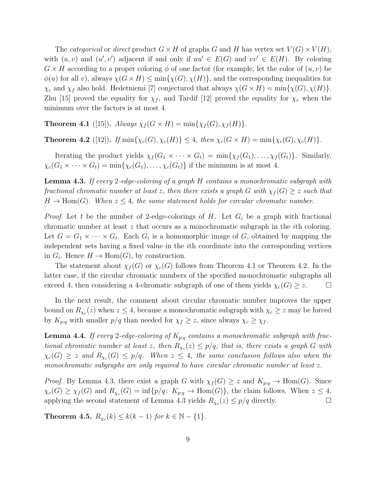The *categorical* or *direct* product  $G \times H$  of graphs G and H has vertex set  $V(G) \times V(H)$ , with  $(u, v)$  and  $(u', v')$  adjacent if and only if  $uu' \in E(G)$  and  $vv' \in E(H)$ . By coloring  $G \times H$  according to a proper coloring  $\phi$  of one factor (for example, let the color of  $(u, v)$ ) be  $\phi(u)$  for all v), always  $\chi(G \times H) \le \min{\{\chi(G), \chi(H)\}}$ , and the corresponding inequalities for  $\chi_c$  and  $\chi_f$  also hold. Hedetniemi [7] conjectured that always  $\chi(G \times H) = \min{\chi(G), \chi(H)}$ . Zhu [15] proved the equality for  $\chi_f$ , and Tardif [12] proved the equality for  $\chi_c$  when the minimum over the factors is at most 4.

**Theorem 4.1** ([15]). *Always*  $\chi_f(G \times H) = \min{\{\chi_f(G), \chi_f(H)\}}$ .

**Theorem 4.2** ([12]). *If*  $\min\{\chi_c(G), \chi_c(H)\} \leq 4$ , then  $\chi_c(G \times H) = \min\{\chi_c(G), \chi_c(H)\}$ .

Iterating the product yields  $\chi_f(G_1 \times \cdots \times G_t) = \min{\{\chi_f(G_1), \ldots, \chi_f(G_t)\}}$ . Similarly,  $\chi_c(G_1 \times \cdots \times G_t) = \min\{\chi_c(G_1), \ldots, \chi_c(G_t)\}\$ if the minimum is at most 4.

Lemma 4.3. *If every* 2*-edge-coloring of a graph* H *contains a monochromatic subgraph with fractional chromatic number at least* z, then there exists a graph G with  $\chi_f(G) \geq z$  such that  $H \to \text{Hom}(G)$ . When  $z \leq 4$ , the same statement holds for circular chromatic number.

*Proof.* Let t be the number of 2-edge-colorings of H. Let  $G_i$  be a graph with fractional chromatic number at least z that occurs as a monochromatic subgraph in the ith coloring. Let  $G = G_1 \times \cdots \times G_t$ . Each  $G_i$  is a homomorphic image of G, obtained by mapping the independent sets having a fixed value in the ith coordinate into the corresponding vertices in  $G_i$ . Hence  $H \to \text{Hom}(G)$ , by construction.

The statement about  $\chi_f(G)$  or  $\chi_c(G)$  follows from Theorem 4.1 or Theorem 4.2. In the latter case, if the circular chromatic numbers of the specified monochromatic subgraphs all exceed 4, then considering a 4-chromatic subgraph of one of them yields  $\chi_c(G) \geq z$ .  $\Box$ 

In the next result, the comment about circular chromatic number improves the upper bound on  $R_{\chi_c}(z)$  when  $z \leq 4$ , because a monochromatic subgraph with  $\chi_c \geq z$  may be forced by  $K_{p:q}$  with smaller  $p/q$  than needed for  $\chi_f \geq z$ , since always  $\chi_c \geq \chi_f$ .

**Lemma 4.4.** If every 2-edge-coloring of  $K_{p,q}$  contains a monochromatic subgraph with frac*tional chromatic number at least* z, then  $R_{\chi_c}(z) \leq p/q$ ; that is, there exists a graph G with  $\chi_c(G) \geq z$  and  $R_{\chi_c}(G) \leq p/q$ . When  $z \leq 4$ , the same conclusion follows also when the *monochromatic subgraphs are only required to have circular chromatic number at least* z*.*

*Proof.* By Lemma 4.3, there exist a graph G with  $\chi_f(G) \geq z$  and  $K_{p:q} \to \text{Hom}(G)$ . Since  $\chi_c(G) \geq \chi_f(G)$  and  $R_{\chi_c}(G) = \inf\{p/q\colon K_{p:q} \to \text{Hom}(G)\}\$ , the claim follows. When  $z \leq 4$ , applying the second statement of Lemma 4.3 yields  $R_{\chi_c}(z) \leq p/q$  directly.

**Theorem 4.5.**  $R_{\chi_c}(k) \leq k(k-1)$  for  $k \in \mathbb{N} - \{1\}$ .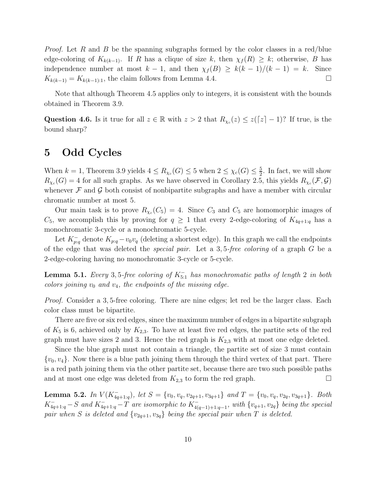*Proof.* Let R and B be the spanning subgraphs formed by the color classes in a red/blue edge-coloring of  $K_{k(k-1)}$ . If R has a clique of size k, then  $\chi_f(R) \geq k$ ; otherwise, B has independence number at most  $k - 1$ , and then  $\chi_f(B) \geq k(k - 1)/(k - 1) = k$ . Since  $K_{k(k-1)} = K_{k(k-1):1}$ , the claim follows from Lemma 4.4.

Note that although Theorem 4.5 applies only to integers, it is consistent with the bounds obtained in Theorem 3.9.

Question 4.6. Is it true for all  $z \in \mathbb{R}$  with  $z > 2$  that  $R_{\chi_c}(z) \leq z(\lceil z \rceil - 1)$ ? If true, is the bound sharp?

## 5 Odd Cycles

When  $k = 1$ , Theorem 3.9 yields  $4 \leq R_{\chi_c}(G) \leq 5$  when  $2 \leq \chi_c(G) \leq \frac{5}{2}$  $\frac{5}{2}$ . In fact, we will show  $R_{\chi_c}(G) = 4$  for all such graphs. As we have observed in Corollary 2.5, this yields  $R_{\chi_c}(\mathcal{F}, \mathcal{G})$ whenever  $\mathcal F$  and  $\mathcal G$  both consist of nonbipartite subgraphs and have a member with circular chromatic number at most 5.

Our main task is to prove  $R_{\chi_c}(C_5) = 4$ . Since  $C_3$  and  $C_5$  are homomorphic images of  $C_5$ , we accomplish this by proving for  $q \geq 1$  that every 2-edge-coloring of  $K_{4q+1:q}$  has a monochromatic 3-cycle or a monochromatic 5-cycle.

Let  $K_{p:q}^-$  denote  $K_{p:q} - v_0v_q$  (deleting a shortest edge). In this graph we call the endpoints of the edge that was deleted the *special pair*. Let a 3, 5*-free coloring* of a graph G be a 2-edge-coloring having no monochromatic 3-cycle or 5-cycle.

Lemma 5.1. *Every* 3, 5*-free coloring of* K<sup>−</sup> 5:1 *has monochromatic paths of length* 2 *in both colors joining*  $v_0$  *and*  $v_4$ *, the endpoints of the missing edge.* 

*Proof.* Consider a 3,5-free coloring. There are nine edges; let red be the larger class. Each color class must be bipartite.

There are five or six red edges, since the maximum number of edges in a bipartite subgraph of  $K_5$  is 6, achieved only by  $K_{2,3}$ . To have at least five red edges, the partite sets of the red graph must have sizes 2 and 3. Hence the red graph is  $K_{2,3}$  with at most one edge deleted.

Since the blue graph must not contain a triangle, the partite set of size 3 must contain  $\{v_0, v_4\}$ . Now there is a blue path joining them through the third vertex of that part. There is a red path joining them via the other partite set, because there are two such possible paths and at most one edge was deleted from  $K_{2,3}$  to form the red graph.  $\square$ 

**Lemma 5.2.** *In*  $V(K_{4q+1:q}^-)$ *, let*  $S = \{v_0, v_q, v_{2q+1}, v_{3q+1}\}$  *and*  $T = \{v_0, v_q, v_{2q}, v_{3q+1}\}$ *. Both*  $K_{4q+1:q}^- - S$  and  $K_{4q+1:q}^- - T$  are isomorphic to  $K_{4(q-1)+1:q-1}^-$ , with  $\{v_{q+1}, v_{2q}\}$  being the special *pair when* S *is deleted and*  $\{v_{2q+1}, v_{3q}\}$  *being the special pair when* T *is deleted.*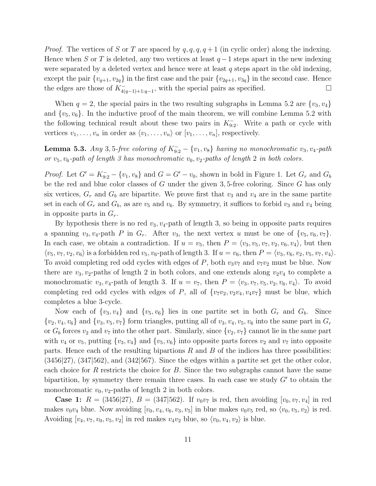*Proof.* The vertices of S or T are spaced by  $q, q, q, q + 1$  (in cyclic order) along the indexing. Hence when S or T is deleted, any two vertices at least  $q-1$  steps apart in the new indexing were separated by a deleted vertex and hence were at least  $q$  steps apart in the old indexing, except the pair  $\{v_{q+1}, v_{2q}\}\$  in the first case and the pair  $\{v_{2q+1}, v_{3q}\}\$  in the second case. Hence the edges are those of  $K_{4(q-1)+1:q-1}^-$ , with the special pairs as specified.

When  $q = 2$ , the special pairs in the two resulting subgraphs in Lemma 5.2 are  $\{v_3, v_4\}$ and  $\{v_5, v_6\}$ . In the inductive proof of the main theorem, we will combine Lemma 5.2 with the following technical result about these two pairs in  $K_{9:2}^-$ . Write a path or cycle with vertices  $v_1, \ldots, v_n$  in order as  $\langle v_1, \ldots, v_n \rangle$  or  $[v_1, \ldots, v_n]$ , respectively.

**Lemma 5.3.** *Any* 3, 5-free coloring of  $K_{9:2}^- - \{v_1, v_8\}$  *having no monochromatic*  $v_3, v_4$ -path *or*  $v_5$ ,  $v_6$ -path of length 3 has monochromatic  $v_0$ ,  $v_2$ -paths of length 2 in both colors.

*Proof.* Let  $G' = K_{9:2}^- - \{v_1, v_8\}$  and  $G = G' - v_0$ , shown in bold in Figure 1. Let  $G_r$  and  $G_b$ be the red and blue color classes of G under the given 3, 5-free coloring. Since G has only six vertices,  $G_r$  and  $G_b$  are bipartite. We prove first that  $v_3$  and  $v_4$  are in the same partite set in each of  $G_r$  and  $G_b$ , as are  $v_5$  and  $v_6$ . By symmetry, it suffices to forbid  $v_3$  and  $v_4$  being in opposite parts in  $G_r$ .

By hypothesis there is no red  $v_3, v_4$ -path of length 3, so being in opposite parts requires a spanning  $v_3, v_4$ -path P in  $G_r$ . After  $v_3$ , the next vertex u must be one of  $\{v_5, v_6, v_7\}$ . In each case, we obtain a contradiction. If  $u = v_5$ , then  $P = \langle v_3, v_5, v_7, v_2, v_6, v_4 \rangle$ , but then  $\langle v_5, v_7, v_2, v_6 \rangle$  is a forbidden red  $v_5, v_6$ -path of length 3. If  $u = v_6$ , then  $P = \langle v_3, v_6, v_2, v_5, v_7, v_4 \rangle$ . To avoid completing red odd cycles with edges of P, both  $v_3v_7$  and  $v_7v_2$  must be blue. Now there are  $v_3, v_2$ -paths of length 2 in both colors, and one extends along  $v_2v_4$  to complete a monochromatic  $v_3, v_4$ -path of length 3. If  $u = v_7$ , then  $P = \langle v_3, v_7, v_5, v_2, v_6, v_4 \rangle$ . To avoid completing red odd cycles with edges of P, all of  $\{v_7v_2, v_2v_4, v_4v_7\}$  must be blue, which completes a blue 3-cycle.

Now each of  $\{v_3, v_4\}$  and  $\{v_5, v_6\}$  lies in one partite set in both  $G_r$  and  $G_b$ . Since  ${v_2, v_4, v_6}$  and  ${v_3, v_5, v_7}$  form triangles, putting all of  $v_3, v_4, v_5, v_6$  into the same part in  $G_r$ or  $G_b$  forces  $v_2$  and  $v_7$  into the other part. Similarly, since  $\{v_2, v_7\}$  cannot lie in the same part with  $v_4$  or  $v_5$ , putting  $\{v_3, v_4\}$  and  $\{v_5, v_6\}$  into opposite parts forces  $v_2$  and  $v_7$  into opposite parts. Hence each of the resulting bipartions  $R$  and  $B$  of the indices has three possibilities:  $(3456|27), (347|562),$  and  $(342|567)$ . Since the edges within a partite set get the other color, each choice for R restricts the choice for B. Since the two subgraphs cannot have the same bipartition, by symmetry there remain three cases. In each case we study  $G'$  to obtain the monochromatic  $v_0$ ,  $v_2$ -paths of length 2 in both colors.

**Case 1:**  $R = (3456|27), B = (347|562)$ . If  $v_0v_7$  is red, then avoiding  $[v_0, v_7, v_4]$  in red makes  $v_0v_4$  blue. Now avoiding  $[v_0, v_4, v_6, v_3, v_5]$  in blue makes  $v_0v_5$  red, so  $\langle v_0, v_5, v_2 \rangle$  is red. Avoiding  $[v_4, v_7, v_0, v_5, v_2]$  in red makes  $v_4v_2$  blue, so  $\langle v_0, v_4, v_2 \rangle$  is blue.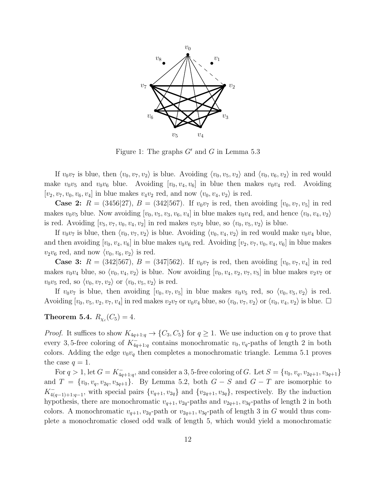

Figure 1: The graphs  $G'$  and G in Lemma 5.3

If  $v_0v_7$  is blue, then  $\langle v_0, v_7, v_2 \rangle$  is blue. Avoiding  $\langle v_0, v_5, v_2 \rangle$  and  $\langle v_0, v_6, v_2 \rangle$  in red would make  $v_0v_5$  and  $v_0v_6$  blue. Avoiding  $[v_0, v_4, v_6]$  in blue then makes  $v_0v_4$  red. Avoiding  $[v_2, v_7, v_0, v_6, v_4]$  in blue makes  $v_4v_2$  red, and now  $\langle v_0, v_4, v_2 \rangle$  is red.

**Case 2:**  $R = (3456|27), B = (342|567)$ . If  $v_0v_7$  is red, then avoiding  $[v_0, v_7, v_5]$  in red makes  $v_0v_5$  blue. Now avoiding  $[v_0, v_5, v_3, v_6, v_4]$  in blue makes  $v_0v_4$  red, and hence  $\langle v_0, v_4, v_2 \rangle$ is red. Avoiding  $[v_5, v_7, v_0, v_4, v_2]$  in red makes  $v_5v_2$  blue, so  $\langle v_0, v_5, v_2 \rangle$  is blue.

If  $v_0v_7$  is blue, then  $\langle v_0, v_7, v_2 \rangle$  is blue. Avoiding  $\langle v_0, v_4, v_2 \rangle$  in red would make  $v_0v_4$  blue, and then avoiding  $[v_0, v_4, v_6]$  in blue makes  $v_0v_6$  red. Avoiding  $[v_2, v_7, v_0, v_4, v_6]$  in blue makes  $v_2v_6$  red, and now  $\langle v_0, v_6, v_2 \rangle$  is red.

**Case 3:**  $R = (342|567), B = (347|562)$ . If  $v_0v_7$  is red, then avoiding  $[v_0, v_7, v_4]$  in red makes  $v_0v_4$  blue, so  $\langle v_0, v_4, v_2 \rangle$  is blue. Now avoiding  $[v_0, v_4, v_2, v_7, v_5]$  in blue makes  $v_2v_7$  or  $v_0v_5$  red, so  $\langle v_0, v_7, v_2 \rangle$  or  $\langle v_0, v_5, v_2 \rangle$  is red.

If  $v_0v_7$  is blue, then avoiding  $[v_0, v_7, v_5]$  in blue makes  $v_0v_5$  red, so  $\langle v_0, v_5, v_2 \rangle$  is red. Avoiding  $[v_0, v_5, v_2, v_7, v_4]$  in red makes  $v_2v_7$  or  $v_0v_4$  blue, so  $\langle v_0, v_7, v_2 \rangle$  or  $\langle v_0, v_4, v_2 \rangle$  is blue.

#### $\bf Theorem\ 5.4.\ \it R_{\chi_{c}}(C_{5})=4.$

*Proof.* It suffices to show  $K_{4q+1:q} \to \{C_3, C_5\}$  for  $q \geq 1$ . We use induction on q to prove that every 3,5-free coloring of  $K_{4q+1:q}^-$  contains monochromatic  $v_0, v_q$ -paths of length 2 in both colors. Adding the edge  $v_0v_q$  then completes a monochromatic triangle. Lemma 5.1 proves the case  $q=1$ .

For  $q > 1$ , let  $G = K_{4q+1:q}^-$ , and consider a 3, 5-free coloring of G. Let  $S = \{v_0, v_q, v_{2q+1}, v_{3q+1}\}$ and  $T = \{v_0, v_q, v_{2q}, v_{3q+1}\}.$  By Lemma 5.2, both  $G - S$  and  $G - T$  are isomorphic to  $K_{40}^+$  $_{4(q-1)+1:q-1}$ , with special pairs  $\{v_{q+1}, v_{2q}\}\$  and  $\{v_{2q+1}, v_{3q}\}\$ , respectively. By the induction hypothesis, there are monochromatic  $v_{q+1}$ ,  $v_{2q}$ -paths and  $v_{2q+1}$ ,  $v_{3q}$ -paths of length 2 in both colors. A monochromatic  $v_{q+1}, v_{2q}$ -path or  $v_{2q+1}, v_{3q}$ -path of length 3 in G would thus complete a monochromatic closed odd walk of length 5, which would yield a monochromatic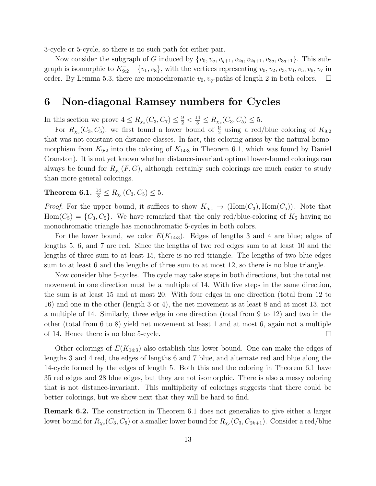3-cycle or 5-cycle, so there is no such path for either pair.

Now consider the subgraph of G induced by  $\{v_0, v_q, v_{q+1}, v_{2q}, v_{2q+1}, v_{3q}, v_{3q+1}\}\.$  This subgraph is isomorphic to  $K_{9:2}^- - \{v_1, v_8\}$ , with the vertices representing  $v_0, v_2, v_3, v_4, v_5, v_6, v_7$  in order. By Lemma 5.3, there are monochromatic  $v_0$ ,  $v_q$ -paths of length 2 in both colors.  $\Box$ 

## 6 Non-diagonal Ramsey numbers for Cycles

In this section we prove  $4 \le R_{\chi_c}(C_3, C_7) \le \frac{9}{2} < \frac{14}{3} \le R_{\chi_c}(C_3, C_5) \le 5$ .

For  $R_{\chi_c}(C_3, C_5)$ , we first found a lower bound of  $\frac{9}{2}$  using a red/blue coloring of  $K_{9:2}$ that was not constant on distance classes. In fact, this coloring arises by the natural homomorphism from  $K_{9:2}$  into the coloring of  $K_{14:3}$  in Theorem 6.1, which was found by Daniel Cranston). It is not yet known whether distance-invariant optimal lower-bound colorings can always be found for  $R_{\chi_c}(F, G)$ , although certainly such colorings are much easier to study than more general colorings.

**Theorem 6.1.**  $\frac{14}{3} \leq R_{\chi_c}(C_3, C_5) \leq 5$ .

*Proof.* For the upper bound, it suffices to show  $K_{5:1} \rightarrow (\text{Hom}(C_3), \text{Hom}(C_5))$ . Note that  $Hom(C_5) = \{C_3, C_5\}$ . We have remarked that the only red/blue-coloring of  $K_5$  having no monochromatic triangle has monochromatic 5-cycles in both colors.

For the lower bound, we color  $E(K_{14:3})$ . Edges of lengths 3 and 4 are blue; edges of lengths 5, 6, and 7 are red. Since the lengths of two red edges sum to at least 10 and the lengths of three sum to at least 15, there is no red triangle. The lengths of two blue edges sum to at least 6 and the lengths of three sum to at most 12, so there is no blue triangle.

Now consider blue 5-cycles. The cycle may take steps in both directions, but the total net movement in one direction must be a multiple of 14. With five steps in the same direction, the sum is at least 15 and at most 20. With four edges in one direction (total from 12 to 16) and one in the other (length 3 or 4), the net movement is at least 8 and at most 13, not a multiple of 14. Similarly, three edge in one direction (total from 9 to 12) and two in the other (total from 6 to 8) yield net movement at least 1 and at most 6, again not a multiple of 14. Hence there is no blue 5-cycle.  $\Box$ 

Other colorings of  $E(K_{14:3})$  also establish this lower bound. One can make the edges of lengths 3 and 4 red, the edges of lengths 6 and 7 blue, and alternate red and blue along the 14-cycle formed by the edges of length 5. Both this and the coloring in Theorem 6.1 have 35 red edges and 28 blue edges, but they are not isomorphic. There is also a messy coloring that is not distance-invariant. This multiplicity of colorings suggests that there could be better colorings, but we show next that they will be hard to find.

Remark 6.2. The construction in Theorem 6.1 does not generalize to give either a larger lower bound for  $R_{\chi_c}(C_3,C_5)$  or a smaller lower bound for  $R_{\chi_c}(C_3,C_{2k+1}).$  Consider a red/blue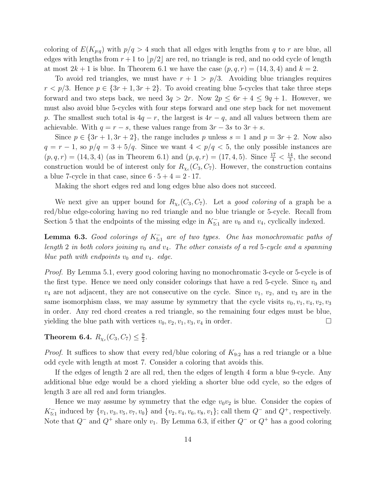coloring of  $E(K_{p,q})$  with  $p/q > 4$  such that all edges with lengths from q to r are blue, all edges with lengths from  $r+1$  to  $|p/2|$  are red, no triangle is red, and no odd cycle of length at most  $2k + 1$  is blue. In Theorem 6.1 we have the case  $(p, q, r) = (14, 3, 4)$  and  $k = 2$ .

To avoid red triangles, we must have  $r + 1 > p/3$ . Avoiding blue triangles requires  $r < p/3$ . Hence  $p \in \{3r+1, 3r+2\}$ . To avoid creating blue 5-cycles that take three steps forward and two steps back, we need  $3q > 2r$ . Now  $2p \leq 6r + 4 \leq 9q + 1$ . However, we must also avoid blue 5-cycles with four steps forward and one step back for net movement p. The smallest such total is  $4q - r$ , the largest is  $4r - q$ , and all values between them are achievable. With  $q = r - s$ , these values range from  $3r - 3s$  to  $3r + s$ .

Since  $p \in \{3r+1, 3r+2\}$ , the range includes p unless  $s = 1$  and  $p = 3r + 2$ . Now also  $q = r - 1$ , so  $p/q = 3 + 5/q$ . Since we want  $4 < p/q < 5$ , the only possible instances are  $(p, q, r) = (14, 3, 4)$  (as in Theorem 6.1) and  $(p, q, r) = (17, 4, 5)$ . Since  $\frac{17}{4} < \frac{14}{3}$  $\frac{14}{3}$ , the second construction would be of interest only for  $R_{\chi_c}(C_3, C_7)$ . However, the construction contains a blue 7-cycle in that case, since  $6 \cdot 5 + 4 = 2 \cdot 17$ .

Making the short edges red and long edges blue also does not succeed.

We next give an upper bound for  $R_{\chi_c}(C_3, C_7)$ . Let a *good coloring* of a graph be a red/blue edge-coloring having no red triangle and no blue triangle or 5-cycle. Recall from Section 5 that the endpoints of the missing edge in  $K_{5:1}^-$  are  $v_0$  and  $v_4$ , cyclically indexed.

Lemma 6.3. *Good colorings of* K<sup>−</sup> 5:1 *are of two types. One has monochromatic paths of length* 2 *in both colors joining*  $v_0$  *and*  $v_4$ . The other consists of a red 5-cycle and a spanning *blue path with endpoints*  $v_0$  *and*  $v_4$ *. edge.* 

*Proof.* By Lemma 5.1, every good coloring having no monochromatic 3-cycle or 5-cycle is of the first type. Hence we need only consider colorings that have a red 5-cycle. Since  $v_0$  and  $v_4$  are not adjacent, they are not consecutive on the cycle. Since  $v_1$ ,  $v_2$ , and  $v_3$  are in the same isomorphism class, we may assume by symmetry that the cycle visits  $v_0, v_1, v_4, v_2, v_3$ in order. Any red chord creates a red triangle, so the remaining four edges must be blue, yielding the blue path with vertices  $v_0, v_2, v_1, v_3, v_4$  in order.

Theorem 6.4.  $R_{\chi_c}(C_3, C_7) \leq \frac{9}{2}$  $\frac{9}{2}$ .

*Proof.* It suffices to show that every red/blue coloring of  $K_{9:2}$  has a red triangle or a blue odd cycle with length at most 7. Consider a coloring that avoids this.

If the edges of length 2 are all red, then the edges of length 4 form a blue 9-cycle. Any additional blue edge would be a chord yielding a shorter blue odd cycle, so the edges of length 3 are all red and form triangles.

Hence we may assume by symmetry that the edge  $v_0v_2$  is blue. Consider the copies of  $K_{5:1}^-$  induced by  $\{v_1, v_3, v_5, v_7, v_0\}$  and  $\{v_2, v_4, v_6, v_8, v_1\}$ ; call them  $Q^-$  and  $Q^+$ , respectively. Note that  $Q^-$  and  $Q^+$  share only  $v_1$ . By Lemma 6.3, if either  $Q^-$  or  $Q^+$  has a good coloring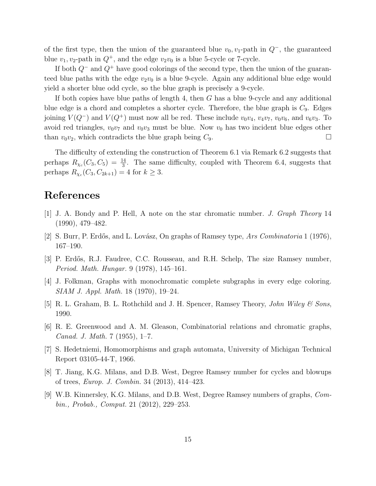of the first type, then the union of the guaranteed blue  $v_0$ ,  $v_1$ -path in  $Q^-$ , the guaranteed blue  $v_1, v_2$ -path in  $Q^+$ , and the edge  $v_2v_0$  is a blue 5-cycle or 7-cycle.

If both  $Q^-$  and  $Q^+$  have good colorings of the second type, then the union of the guaranteed blue paths with the edge  $v_2v_0$  is a blue 9-cycle. Again any additional blue edge would yield a shorter blue odd cycle, so the blue graph is precisely a 9-cycle.

If both copies have blue paths of length 4, then G has a blue 9-cycle and any additional blue edge is a chord and completes a shorter cycle. Therefore, the blue graph is  $C_9$ . Edges joining  $V(Q^-)$  and  $V(Q^+)$  must now all be red. These include  $v_0v_4$ ,  $v_4v_7$ ,  $v_0v_6$ , and  $v_6v_3$ . To avoid red triangles,  $v_0v_7$  and  $v_0v_3$  must be blue. Now  $v_0$  has two incident blue edges other than  $v_0v_2$ , which contradicts the blue graph being  $C_9$ .

The difficulty of extending the construction of Theorem 6.1 via Remark 6.2 suggests that perhaps  $R_{\chi_c}(C_3, C_5) = \frac{14}{3}$ . The same difficulty, coupled with Theorem 6.4, suggests that perhaps  $R_{\chi_c}(C_3, C_{2k+1}) = 4$  for  $k \geq 3$ .

### References

- [1] J. A. Bondy and P. Hell, A note on the star chromatic number. *J. Graph Theory* 14 (1990), 479–482.
- [2] S. Burr, P. Erd˝os, and L. Lov´asz, On graphs of Ramsey type, *Ars Combinatoria* 1 (1976), 167–190.
- [3] P. Erdős, R.J. Faudree, C.C. Rousseau, and R.H. Schelp, The size Ramsey number, *Period. Math. Hungar.* 9 (1978), 145–161.
- [4] J. Folkman, Graphs with monochromatic complete subgraphs in every edge coloring. *SIAM J. Appl. Math.* 18 (1970), 19–24.
- [5] R. L. Graham, B. L. Rothchild and J. H. Spencer, Ramsey Theory, *John Wiley & Sons*, 1990.
- [6] R. E. Greenwood and A. M. Gleason, Combinatorial relations and chromatic graphs, *Canad. J. Math.* 7 (1955), 1–7.
- [7] S. Hedetniemi, Homomorphisms and graph automata, University of Michigan Technical Report 03105-44-T, 1966.
- [8] T. Jiang, K.G. Milans, and D.B. West, Degree Ramsey number for cycles and blowups of trees, *Europ. J. Combin.* 34 (2013), 414–423.
- [9] W.B. Kinnersley, K.G. Milans, and D.B. West, Degree Ramsey numbers of graphs, *Combin., Probab., Comput.* 21 (2012), 229–253.